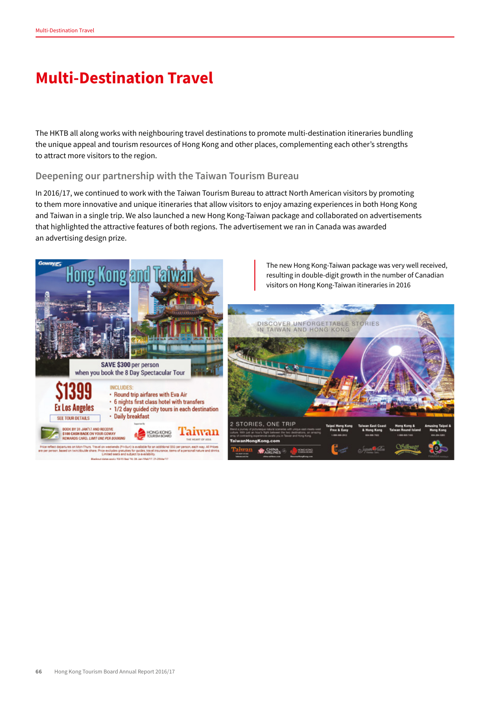## **Multi-Destination Travel**

The HKTB all along works with neighbouring travel destinations to promote multi-destination itineraries bundling the unique appeal and tourism resources of Hong Kong and other places, complementing each other's strengths to attract more visitors to the region.

## **Deepening our partnership with the Taiwan Tourism Bureau**

In 2016/17, we continued to work with the Taiwan Tourism Bureau to attract North American visitors by promoting to them more innovative and unique itineraries that allow visitors to enjoy amazing experiences in both Hong Kong and Taiwan in a single trip. We also launched a new Hong Kong-Taiwan package and collaborated on advertisements that highlighted the attractive features of both regions. The advertisement we ran in Canada was awarded an advertising design prize.